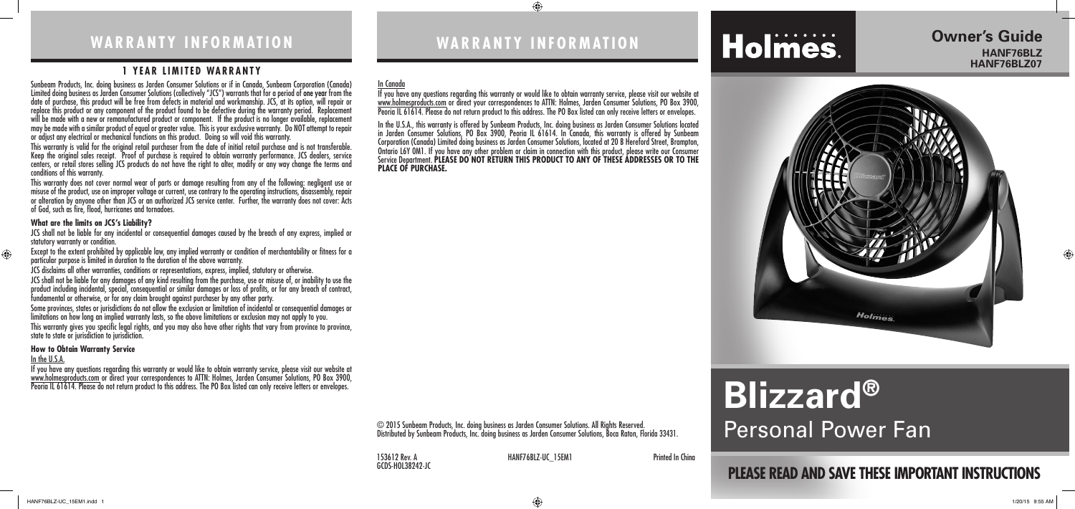## **WARRANTY INFORMATION**

# **PLEASE READ AND SAVE THESE IMPORTANT INSTRUCTIONS**

**Owner's Guide** 

**Holmes** 

**HANF76BLZ HANF76BLZ07**

 $\bigoplus$ 

# **Holmes**

# **Blizzard®**

© 2015 Sunbeam Products, Inc. doing business as Jarden Consumer Solutions. All Rights Reserved.<br>Distributed by Sunbeam Products, Inc. doing business as Jarden Consumer Solutions, Boca Raton, Florida 33431. Personal Power F Distributed by Sunbeam Products, Inc. doing business as Jarden Consumer Solutions, Boca Raton, Florida 33431.

GCDS-HOL38242-JC

153612 Rev. A **HANF76BLZ-UC\_15EM1** Printed In China



⊕

#### **1 YEAR LIMITED WARRANTY**

Sunbeam Products, Inc. doing business as Jarden Consumer Solutions or if in Canada, Sunbeam Corporation (Canada) Limited doing business as Jarden Consumer Solutions (collectively "JCS") warrants that for a period of one year from the date of purchase, this product will be free from defects in material and workmanship. JCS, at its option, will repair or replace this product or any component of the product found to be defective during the warranty period. Replacement will be made with a new or remanufactured product or component. If the product is no longer available, replacement may be made with a similar product of equal or greater value. This is your exclusive warranty. Do NOT attempt to repair or adjust any electrical or mechanical functions on this product. Doing so will void this warranty.

JCS shall not be liable for any incidental or consequential damages caused by the breach of any express, implied or statutory warranty or condition.

This warranty is valid for the original retail purchaser from the date of initial retail purchase and is not transferable. Keep the original sales receipt. Proof of purchase is required to obtain warranty performance. JCS dealers, service centers, or retail stores selling JCS products do not have the right to alter, modify or any way change the terms and conditions of this warranty.

If you have any questions regarding this warranty or would like to obtain warranty service, please visit our website at www.holmesproducts.com or direct your correspondences to ATTN: Holmes, Jarden Consumer Solutions, PO Box 3900, Peoria IL 61614. Please do not return product to this address. The PO Box listed can only receive letters or envelopes.

If you have any questions regarding this warranty or would like to obtain warranty service, please visit our website at www.holmesproducts.com or direct your correspondences to ATTN: Holmes, Jarden Consumer Solutions, PO Box 3900,<br>Peoria IL 61614. Please do not return product to this address. The PO Box listed can only receive letters or en

This warranty does not cover normal wear of parts or damage resulting from any of the following: negligent use or misuse of the product, use on improper voltage or current, use contrary to the operating instructions, disassembly, repair or alteration by anyone other than JCS or an authorized JCS service center. Further, the warranty does not cover: Acts of God, such as fire, flood, hurricanes and tornadoes.

#### **What are the limits on JCS's Liability?**

Except to the extent prohibited by applicable law, any implied warranty or condition of merchantability or fitness for a particular purpose is limited in duration to the duration of the above warranty.

JCS disclaims all other warranties, conditions or representations, express, implied, statutory or otherwise.

JCS shall not be liable for any damages of any kind resulting from the purchase, use or misuse of, or inability to use the product including incidental, special, consequential or similar damages or loss of profits, or for any breach of contract, fundamental or otherwise, or for any claim brought against purchaser by any other party.

Some provinces, states or jurisdictions do not allow the exclusion or limitation of incidental or consequential damages or limitations on how long an implied warranty lasts, so the above limitations or exclusion may not apply to you. This warranty gives you specific legal rights, and you may also have other rights that vary from province to province, state to state or jurisdiction to jurisdiction.

#### **How to Obtain Warranty Service**

#### In the U.S.A.

 $\bigoplus$ 

#### In Canada

In the U.S.A., this warranty is offered by Sunbeam Products, Inc. doing business as Jarden Consumer Solutions located in Jarden Consumer Solutions, PO Box 3900, Peoria IL 61614. In Canada, this warranty is offered by Sunbeam Corporation (Canada) Limited doing business as Jarden Consumer Solutions, located at 20 B Hereford Street, Brampton, Ontario L6Y 0M1. If you have any other problem or claim in connection with this product, please write our Consumer Service Department. **PLEASE DO NOT RETURN THIS PRODUCT TO ANY OF THESE ADDRESSES OR TO THE PLACE OF PURCHASE.**